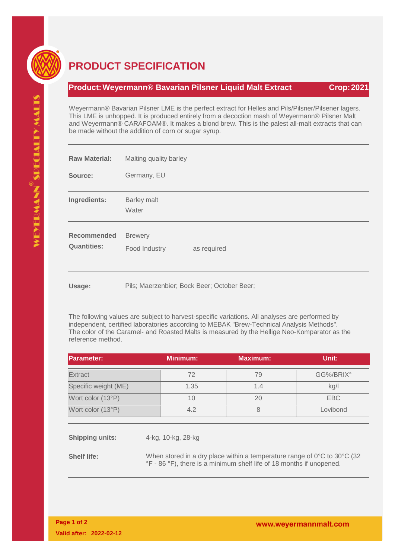

## **PRODUCT SPECIFICATION**

## **Product:Weyermann® Bavarian Pilsner Liquid Malt Extract Crop:2021**

Weyermann® Bavarian Pilsner LME is the perfect extract for Helles and Pils/Pilsner/Pilsener lagers. This LME is unhopped. It is produced entirely from a decoction mash of Weyermann® Pilsner Malt and Weyermann® CARAFOAM®. It makes a blond brew. This is the palest all-malt extracts that can be made without the addition of corn or sugar syrup.

| <b>Raw Material:</b>                     | Malting quality barley                         |  |  |  |  |
|------------------------------------------|------------------------------------------------|--|--|--|--|
| Source:                                  | Germany, EU                                    |  |  |  |  |
| Ingredients:                             | Barley malt<br>Water                           |  |  |  |  |
| <b>Recommended</b><br><b>Quantities:</b> | <b>Brewery</b><br>Food Industry<br>as required |  |  |  |  |
| Usage:                                   | Pils; Maerzenbier; Bock Beer; October Beer;    |  |  |  |  |

The following values are subject to harvest-specific variations. All analyses are performed by independent, certified laboratories according to MEBAK "Brew-Technical Analysis Methods". The color of the Caramel- and Roasted Malts is measured by the Hellige Neo-Komparator as the reference method.

| <b>Parameter:</b>      |                                                                                                                                                                       | <b>Minimum:</b> | <b>Maximum:</b> | Unit:      |  |
|------------------------|-----------------------------------------------------------------------------------------------------------------------------------------------------------------------|-----------------|-----------------|------------|--|
| Extract                |                                                                                                                                                                       | 72              | 79              | GG%/BRIX°  |  |
| Specific weight (ME)   |                                                                                                                                                                       | 1.35            | 1.4             | kg/l       |  |
| Wort color (13°P)      |                                                                                                                                                                       | 10              | 20              | <b>EBC</b> |  |
| Wort color (13°P)      |                                                                                                                                                                       | 4.2             | 8               | Lovibond   |  |
|                        |                                                                                                                                                                       |                 |                 |            |  |
| <b>Shipping units:</b> | 4-kg, 10-kg, 28-kg                                                                                                                                                    |                 |                 |            |  |
| <b>Shelf life:</b>     | When stored in a dry place within a temperature range of $0^{\circ}$ C to $30^{\circ}$ C (32)<br>°F - 86 °F), there is a minimum shelf life of 18 months if unopened. |                 |                 |            |  |